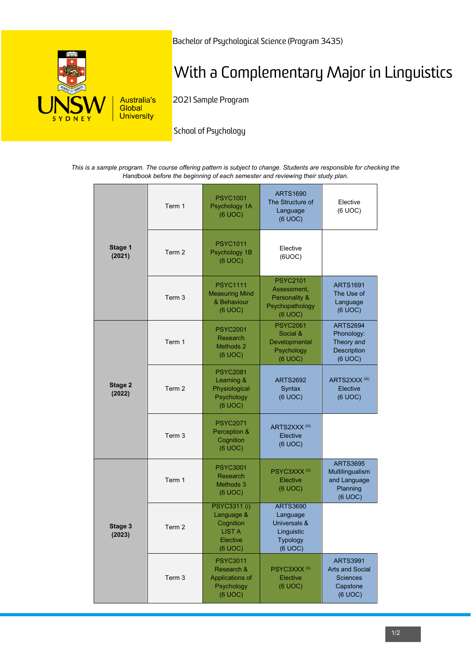

Bachelor of Psychological Science (Program 3435)

# With a Complementary Major in Linguistics

2021 Sample Program

School of Psychology

*This is a sample program. The course offering pattern is subject to change. Students are responsible for checking the Handbook before the beginning of each semester and reviewing their study plan.*

| Stage 1<br>(2021) | Term 1 | <b>PSYC1001</b><br>Psychology 1A<br>(6 UOC)                                            | <b>ARTS1690</b><br>The Structure of<br>Language<br>(6 UOC)                              | Elective<br>(6 UOC)                                                                 |
|-------------------|--------|----------------------------------------------------------------------------------------|-----------------------------------------------------------------------------------------|-------------------------------------------------------------------------------------|
|                   | Term 2 | <b>PSYC1011</b><br>Psychology 1B<br>(6 UOC)                                            | Elective<br>(6UOC)                                                                      |                                                                                     |
|                   | Term 3 | <b>PSYC1111</b><br><b>Measuring Mind</b><br>& Behaviour<br>(6 UOC)                     | <b>PSYC2101</b><br>Assessment.<br>Personality &<br>Psychopathology<br>(6 UOC)           | <b>ARTS1691</b><br>The Use of<br>Language<br>(6 UOC)                                |
| Stage 2<br>(2022) | Term 1 | <b>PSYC2001</b><br><b>Research</b><br>Methods 2<br>(6 UOC)                             | <b>PSYC2061</b><br>Social &<br>Developmental<br>Psychology<br>(6 UOC)                   | <b>ARTS2694</b><br>Phonology:<br>Theory and<br>Description<br>(6 UOC)               |
|                   | Term 2 | <b>PSYC2081</b><br>Learning &<br>Physiological<br>Psychology<br>(6 UOC)                | <b>ARTS2692</b><br>Syntax<br>(6 UOC)                                                    | ARTS2XXX <sup>(iii)</sup><br>Elective<br>(6 UOC)                                    |
|                   | Term 3 | <b>PSYC2071</b><br>Perception &<br>Cognition<br>(6 UOC)                                | ARTS2XXX <sup>(iii)</sup><br>Elective<br>(6 UOC)                                        |                                                                                     |
| Stage 3<br>(2023) | Term 1 | <b>PSYC3001</b><br><b>Research</b><br>Methods 3<br>(6 UOC)                             | PSYC3XXX <sup>(ii)</sup><br>Elective<br>(6 UOC)                                         | <b>ARTS3695</b><br>Multilingualism<br>and Language<br>Planning<br>(6 UOC)           |
|                   | Term 2 | <b>PSYC3311 (i)</b><br>Language &<br>Cognition<br><b>LIST A</b><br>Elective<br>(6 UOC) | <b>ARTS3690</b><br>Language<br>Universals &<br>Linguistic<br><b>Typology</b><br>(6 UOC) |                                                                                     |
|                   | Term 3 | <b>PSYC3011</b><br>Research &<br>Applications of<br>Psychology<br>(6 UOC)              | PSYC3XXX <sup>(ii)</sup><br>Elective<br>(6 UOC)                                         | <b>ARTS3991</b><br><b>Arts and Social</b><br><b>Sciences</b><br>Capstone<br>(6 UOC) |